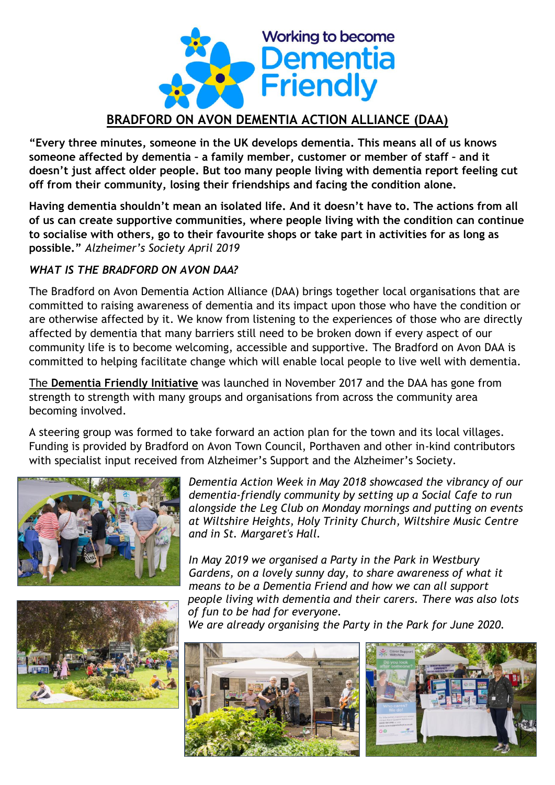

## **BRADFORD ON AVON DEMENTIA ACTION ALLIANCE (DAA)**

**"Every three minutes, someone in the UK develops dementia. This means all of us knows someone affected by dementia – a family member, customer or member of staff – and it doesn't just affect older people. But too many people living with dementia report feeling cut off from their community, losing their friendships and facing the condition alone.**

**Having dementia shouldn't mean an isolated life. And it doesn't have to. The actions from all of us can create supportive communities, where people living with the condition can continue to socialise with others, go to their favourite shops or take part in activities for as long as possible."** *Alzheimer's Society April 2019*

## *WHAT IS THE BRADFORD ON AVON DAA?*

The Bradford on Avon Dementia Action Alliance (DAA) brings together local organisations that are committed to raising awareness of dementia and its impact upon those who have the condition or are otherwise affected by it. We know from listening to the experiences of those who are directly affected by dementia that many barriers still need to be broken down if every aspect of our community life is to become welcoming, accessible and supportive. The Bradford on Avon DAA is committed to helping facilitate change which will enable local people to live well with dementia.

The **Dementia Friendly Initiative** was launched in November 2017 and the DAA has gone from strength to strength with many groups and organisations from across the community area becoming involved.

A steering group was formed to take forward an action plan for the town and its local villages. Funding is provided by Bradford on Avon Town Council, Porthaven and other in-kind contributors with specialist input received from Alzheimer's Support and the Alzheimer's Society.





*Dementia Action Week in May 2018 showcased the vibrancy of our dementia-friendly community by setting up a Social Cafe to run alongside the Leg Club on Monday mornings and putting on events at Wiltshire Heights, Holy Trinity Church, Wiltshire Music Centre and in St. Margaret's Hall.*

*In May 2019 we organised a Party in the Park in Westbury Gardens, on a lovely sunny day, to share awareness of what it means to be a Dementia Friend and how we can all support people living with dementia and their carers. There was also lots of fun to be had for everyone.*

*We are already organising the Party in the Park for June 2020.*